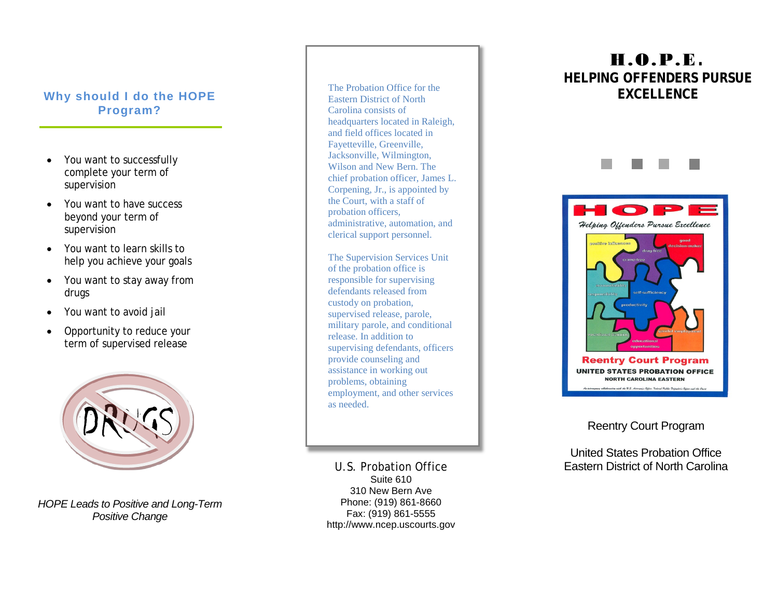### **Why should I do the HOPE Program ?**

- You want to successfully complete your term of supervision
- You want to have success beyond your term of supervision
- You want to learn skills to help you achieve your goals
- You want to stay away from drugs
- You want to avoid jail
- Opportunity to reduce your term of supervised release



*HOPE Leads to Positive and Long -Term Positive Change*

The Probation Office for the Eastern District of North Carolina consists of headquarters located in Raleigh, and field offices located in Fayetteville, Greenville, Jacksonville, Wilmington, Wilson and New Bern. The chief probation officer, James L. Corpening, Jr., is appointed by the Court, with a staff of probation officers, administrative, automation, and clerical support personnel.

The Supervision Services Unit of the probation office is responsible for supervising defendants released from custody on probation, supervised release, parole, military parole, and conditional release. In addition to supervising defendants, officers provide counseling and assistance in working out problems, obtaining employment, and other services as needed.

U.S. Probation Office Suite 610 310 New Bern Ave Phone: (919) 861 -8660 Fax: (919) 861 -5555 http://www.ncep.uscourts.gov

# H.O.P.E **. HELPING OFFENDERS PURSUE EXCELLENCE**



### Reentry Court Program

United States Probation Office Eastern District of North Carolina